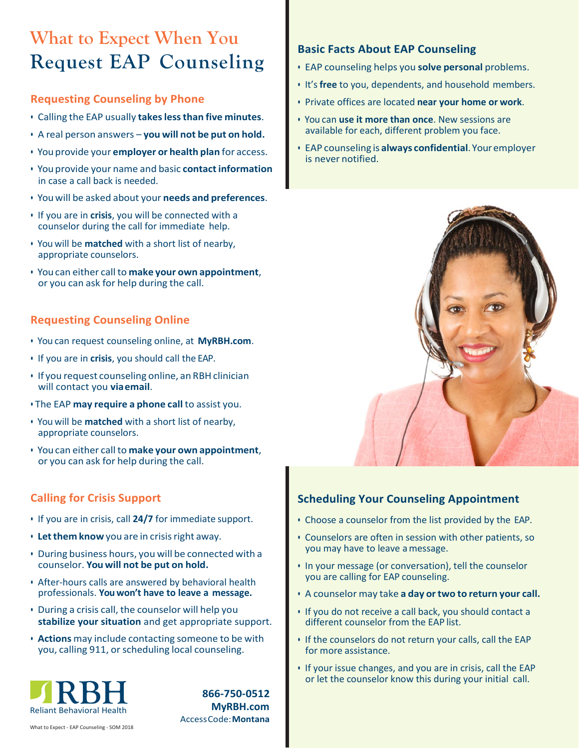## **What to Expect When You Request EAP Counseling**

#### **Requesting Counseling by Phone**

- Calling the EAP usually **takeslessthan five minutes**.
- A real person answers **you will not be put on hold.**
- You provide your **employer or health plan** for access.
- You provide your name and basic **contactinformation** in case a call back is needed.
- You will be asked about your **needs and preferences**.
- If you are in **crisis**, you will be connected with a counselor during the call for immediate help.
- You will be **matched** with a short list of nearby, appropriate counselors.
- You can either call to **make your own appointment**, or you can ask for help during the call.

## **Requesting Counseling Online**

- You can request counseling online, at **MyRBH.com**.
- If you are in **crisis**, you should call the EAP.
- If you request counseling online, an RBH clinician will contact you **viaemail**.
- The EAP **may require a phone call** to assist you.
- You will be **matched** with a short list of nearby, appropriate counselors.
- You can either call to **make your own appointment**, or you can ask for help during the call.

## **Calling for Crisis Support**

- If you are in crisis, call **24/7** for immediate support.
- **Letthem know** you are in crisisright away.
- During business hours, you will be connected with a counselor. **You will not be put on hold.**
- After-hours calls are answered by behavioral health professionals. **You won't have to leave a message.**
- During a crisis call, the counselor will help you **stabilize your situation** and get appropriate support.
- **Actions** may include contacting someone to be with you, calling 911, or scheduling local counseling.



**866-750-0512 MyRBH.com** AccessCode:**Montana**

#### **Basic Facts About EAP Counseling**

- EAP counseling helps you **solve personal** problems.
- It's **free** to you, dependents, and household members.
- Private offices are located **near your home or work**.
- You can **use it more than once**. New sessions are available for each, different problem you face.
- EAP counseling is **always confidential**.Youremployer is never notified.



## **Scheduling Your Counseling Appointment**

- Choose a counselor from the list provided by the EAP.
- Counselors are often in session with other patients, so you may have to leave amessage.
- In your message (or conversation), tell the counselor you are calling for EAP counseling.
- A counselor may take **a day or two to return your call.**
- If you do not receive a call back, you should contact a different counselor from the EAP list.
- If the counselors do not return your calls, call the EAP for more assistance.
- If your issue changes, and you are in crisis, call the EAP or let the counselor know this during your initial call.